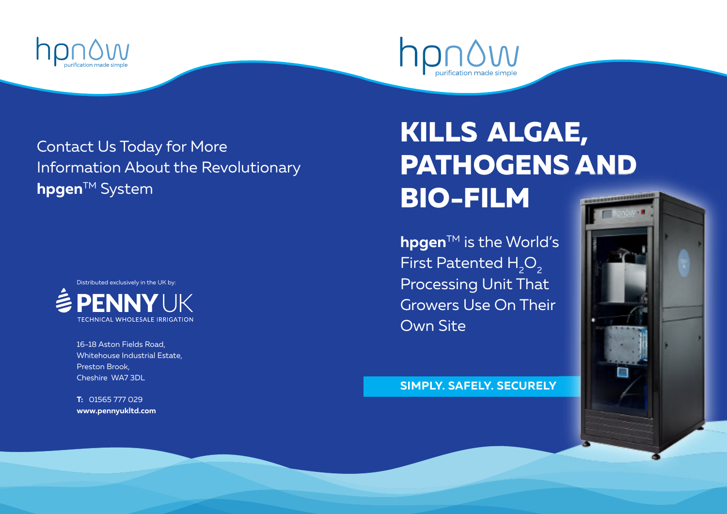



Contact Us Today for More Information About the Revolutionary **hpgen™** System



16-18 Aston Fields Road, Whitehouse Industrial Estate, Preston Brook, Cheshire WA7 3DL

**T:** 01565 777 029 **www.pennyukltd.com**

## **KILLS ALGAE, PATHOGENS AND BIO-FILM**

**hpgen™** is the World's First Patented  $H_2O_2$ Processing Unit That Growers Use On Their Own Site

**SIMPLY. SAFELY. SECURELY**